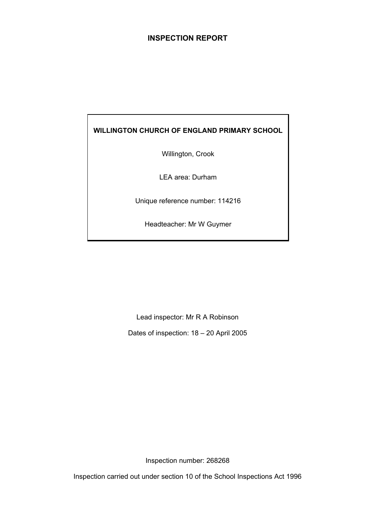## **INSPECTION REPORT**

## **WILLINGTON CHURCH OF ENGLAND PRIMARY SCHOOL**

Willington, Crook

LEA area: Durham

Unique reference number: 114216

Headteacher: Mr W Guymer

Lead inspector: Mr R A Robinson

Dates of inspection: 18 – 20 April 2005

Inspection number: 268268

Inspection carried out under section 10 of the School Inspections Act 1996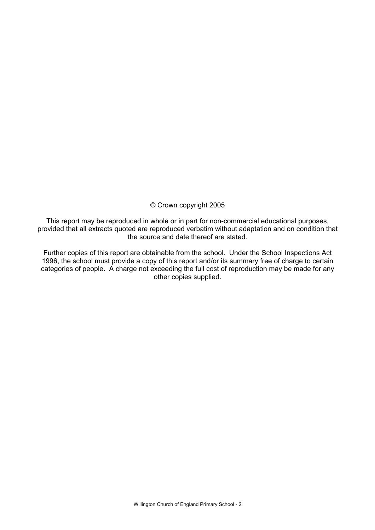## © Crown copyright 2005

This report may be reproduced in whole or in part for non-commercial educational purposes, provided that all extracts quoted are reproduced verbatim without adaptation and on condition that the source and date thereof are stated.

Further copies of this report are obtainable from the school. Under the School Inspections Act 1996, the school must provide a copy of this report and/or its summary free of charge to certain categories of people. A charge not exceeding the full cost of reproduction may be made for any other copies supplied.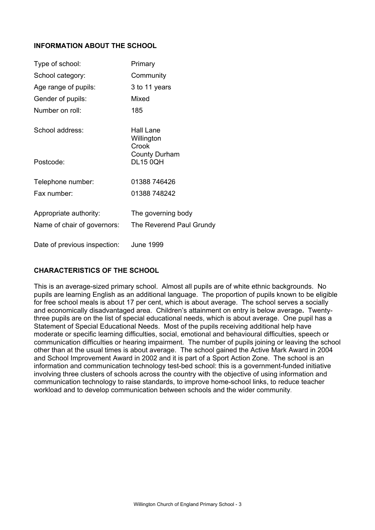## **INFORMATION ABOUT THE SCHOOL**

| Type of school:                                       | Primary                                        |
|-------------------------------------------------------|------------------------------------------------|
| School category:                                      | Community                                      |
| Age range of pupils:                                  | 3 to 11 years                                  |
| Gender of pupils:                                     | Mixed                                          |
| Number on roll:                                       | 185                                            |
| School address:                                       | Hall Lane<br>Willington<br>Crook               |
| Postcode:                                             | <b>County Durham</b><br><b>DL15 0QH</b>        |
| Telephone number:                                     | 01388 746426                                   |
| Fax number:                                           | 01388 748242                                   |
| Appropriate authority:<br>Name of chair of governors: | The governing body<br>The Reverend Paul Grundy |
| Date of previous inspection:                          | June 1999                                      |

## **CHARACTERISTICS OF THE SCHOOL**

This is an average-sized primary school. Almost all pupils are of white ethnic backgrounds. No pupils are learning English as an additional language. The proportion of pupils known to be eligible for free school meals is about 17 per cent, which is about average. The school serves a socially and economically disadvantaged area. Children's attainment on entry is below average**.** Twentythree pupils are on the list of special educational needs, which is about average. One pupil has a Statement of Special Educational Needs. Most of the pupils receiving additional help have moderate or specific learning difficulties, social, emotional and behavioural difficulties, speech or communication difficulties or hearing impairment. The number of pupils joining or leaving the school other than at the usual times is about average. The school gained the Active Mark Award in 2004 and School Improvement Award in 2002 and it is part of a Sport Action Zone. The school is an information and communication technology test-bed school: this is a government-funded initiative involving three clusters of schools across the country with the objective of using information and communication technology to raise standards, to improve home-school links, to reduce teacher workload and to develop communication between schools and the wider community.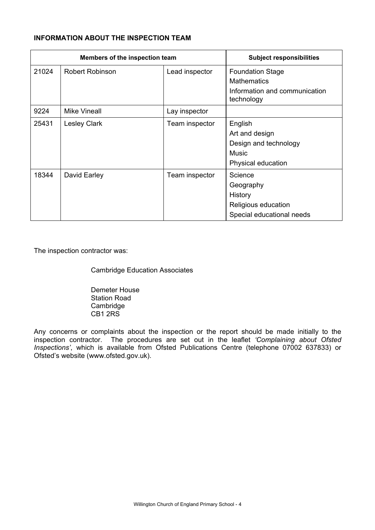## **INFORMATION ABOUT THE INSPECTION TEAM**

|       | Members of the inspection team |                | <b>Subject responsibilities</b>                                                          |
|-------|--------------------------------|----------------|------------------------------------------------------------------------------------------|
| 21024 | <b>Robert Robinson</b>         | Lead inspector | <b>Foundation Stage</b><br><b>Mathematics</b>                                            |
|       |                                |                | Information and communication<br>technology                                              |
| 9224  | <b>Mike Vineall</b>            | Lay inspector  |                                                                                          |
| 25431 | <b>Lesley Clark</b>            | Team inspector | English<br>Art and design<br>Design and technology<br><b>Music</b><br>Physical education |
| 18344 | David Earley                   | Team inspector | Science<br>Geography<br>History<br>Religious education<br>Special educational needs      |

The inspection contractor was:

Cambridge Education Associates

 Demeter House Station Road Cambridge CB1 2RS

Any concerns or complaints about the inspection or the report should be made initially to the inspection contractor. The procedures are set out in the leaflet *'Complaining about Ofsted Inspections'*, which is available from Ofsted Publications Centre (telephone 07002 637833) or Ofsted's website (www.ofsted.gov.uk).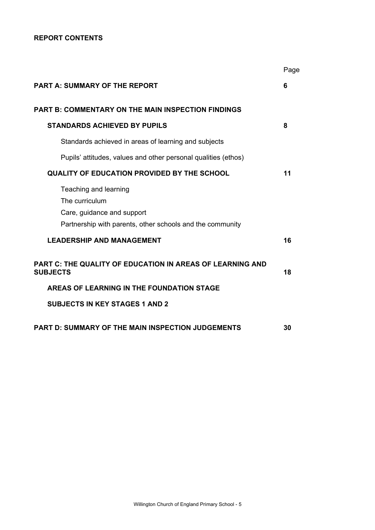## **REPORT CONTENTS**

|                                                                                                                                    | Page |
|------------------------------------------------------------------------------------------------------------------------------------|------|
| <b>PART A: SUMMARY OF THE REPORT</b>                                                                                               | 6    |
| <b>PART B: COMMENTARY ON THE MAIN INSPECTION FINDINGS</b>                                                                          |      |
| <b>STANDARDS ACHIEVED BY PUPILS</b>                                                                                                | 8    |
| Standards achieved in areas of learning and subjects                                                                               |      |
| Pupils' attitudes, values and other personal qualities (ethos)                                                                     |      |
| <b>QUALITY OF EDUCATION PROVIDED BY THE SCHOOL</b>                                                                                 | 11   |
| Teaching and learning<br>The curriculum<br>Care, guidance and support<br>Partnership with parents, other schools and the community |      |
| <b>LEADERSHIP AND MANAGEMENT</b>                                                                                                   | 16   |
| PART C: THE QUALITY OF EDUCATION IN AREAS OF LEARNING AND<br><b>SUBJECTS</b>                                                       | 18   |
| AREAS OF LEARNING IN THE FOUNDATION STAGE                                                                                          |      |
| <b>SUBJECTS IN KEY STAGES 1 AND 2</b>                                                                                              |      |
| PART D: SUMMARY OF THE MAIN INSPECTION JUDGEMENTS                                                                                  | 30   |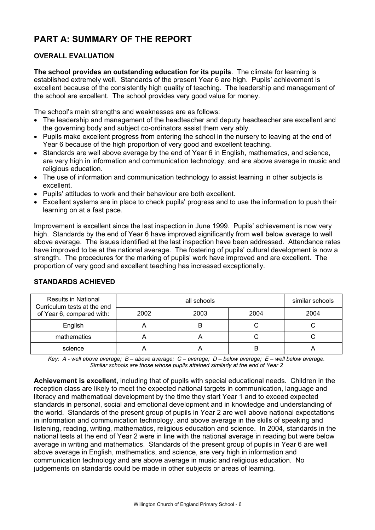# **PART A: SUMMARY OF THE REPORT**

## **OVERALL EVALUATION**

**The school provides an outstanding education for its pupils**. The climate for learning is established extremely well. Standards of the present Year 6 are high. Pupils' achievement is excellent because of the consistently high quality of teaching. The leadership and management of the school are excellent. The school provides very good value for money.

The school's main strengths and weaknesses are as follows:

- The leadership and management of the headteacher and deputy headteacher are excellent and the governing body and subject co-ordinators assist them very ably.
- Pupils make excellent progress from entering the school in the nursery to leaving at the end of Year 6 because of the high proportion of very good and excellent teaching.
- Standards are well above average by the end of Year 6 in English, mathematics, and science, are very high in information and communication technology, and are above average in music and religious education.
- The use of information and communication technology to assist learning in other subjects is excellent.
- Pupils' attitudes to work and their behaviour are both excellent.
- Excellent systems are in place to check pupils' progress and to use the information to push their learning on at a fast pace.

Improvement is excellent since the last inspection in June 1999. Pupils' achievement is now very high. Standards by the end of Year 6 have improved significantly from well below average to well above average. The issues identified at the last inspection have been addressed. Attendance rates have improved to be at the national average. The fostering of pupils' cultural development is now a strength. The procedures for the marking of pupils' work have improved and are excellent. The proportion of very good and excellent teaching has increased exceptionally.

| <b>Results in National</b><br>Curriculum tests at the end |      | similar schools |      |      |
|-----------------------------------------------------------|------|-----------------|------|------|
| of Year 6, compared with:                                 | 2002 | 2003            | 2004 | 2004 |
| English                                                   |      |                 |      |      |
| mathematics                                               |      |                 |      |      |
| science                                                   |      |                 | B    |      |

#### **STANDARDS ACHIEVED**

*Key: A - well above average; B – above average; C – average; D – below average; E – well below average. Similar schools are those whose pupils attained similarly at the end of Year 2* 

**Achievement is excellent**, including that of pupils with special educational needs. Children in the reception class are likely to meet the expected national targets in communication, language and literacy and mathematical development by the time they start Year 1 and to exceed expected standards in personal, social and emotional development and in knowledge and understanding of the world. Standards of the present group of pupils in Year 2 are well above national expectations in information and communication technology, and above average in the skills of speaking and listening, reading, writing, mathematics, religious education and science.In 2004, standards in the national tests at the end of Year 2 were in line with the national average in reading but were below average in writing and mathematics. Standards of the present group of pupils in Year 6 are well above average in English, mathematics, and science, are very high in information and communication technology and are above average in music and religious education. No judgements on standards could be made in other subjects or areas of learning.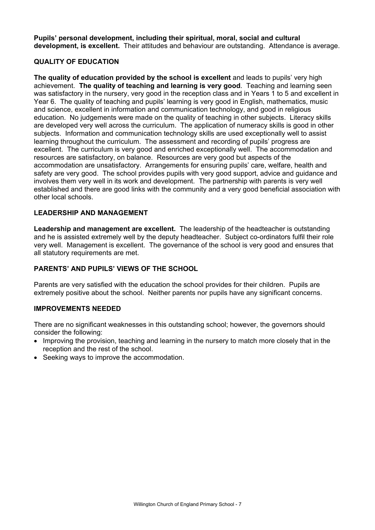**Pupils' personal development, including their spiritual, moral, social and cultural development, is excellent.** Their attitudes and behaviour are outstanding. Attendance is average.

## **QUALITY OF EDUCATION**

**The quality of education provided by the school is excellent** and leads to pupils' very high achievement. **The quality of teaching and learning is very good**. Teaching and learning seen was satisfactory in the nursery, very good in the reception class and in Years 1 to 5 and excellent in Year 6. The quality of teaching and pupils' learning is very good in English, mathematics, music and science, excellent in information and communication technology, and good in religious education. No judgements were made on the quality of teaching in other subjects. Literacy skills are developed very well across the curriculum. The application of numeracy skills is good in other subjects. Information and communication technology skills are used exceptionally well to assist learning throughout the curriculum. The assessment and recording of pupils' progress are excellent. The curriculum is very good and enriched exceptionally well. The accommodation and resources are satisfactory, on balance. Resources are very good but aspects of the accommodation are unsatisfactory. Arrangements for ensuring pupils' care, welfare, health and safety are very good. The school provides pupils with very good support, advice and guidance and involves them very well in its work and development. The partnership with parents is very well established and there are good links with the community and a very good beneficial association with other local schools.

## **LEADERSHIP AND MANAGEMENT**

**Leadership and management are excellent.** The leadership of the headteacher is outstanding and he is assisted extremely well by the deputy headteacher. Subject co-ordinators fulfil their role very well. Management is excellent. The governance of the school is very good and ensures that all statutory requirements are met.

## **PARENTS' AND PUPILS' VIEWS OF THE SCHOOL**

Parents are very satisfied with the education the school provides for their children. Pupils are extremely positive about the school. Neither parents nor pupils have any significant concerns.

## **IMPROVEMENTS NEEDED**

There are no significant weaknesses in this outstanding school; however, the governors should consider the following:

- Improving the provision, teaching and learning in the nursery to match more closely that in the reception and the rest of the school.
- Seeking ways to improve the accommodation.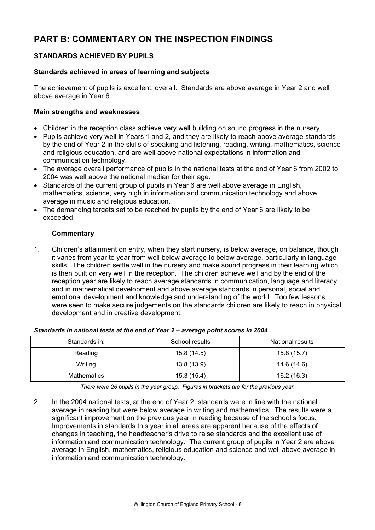# **PART B: COMMENTARY ON THE INSPECTION FINDINGS**

## **STANDARDS ACHIEVED BY PUPILS**

## **Standards achieved in areas of learning and subjects**

The achievement of pupils is excellent, overall. Standards are above average in Year 2 and well above average in Year 6.

#### **Main strengths and weaknesses**

- Children in the reception class achieve very well building on sound progress in the nursery.
- Pupils achieve very well in Years 1 and 2, and they are likely to reach above average standards by the end of Year 2 in the skills of speaking and listening, reading, writing, mathematics, science and religious education, and are well above national expectations in information and communication technology.
- The average overall performance of pupils in the national tests at the end of Year 6 from 2002 to 2004 was well above the national median for their age.
- Standards of the current group of pupils in Year 6 are well above average in English. mathematics, science, very high in information and communication technology and above average in music and religious education.
- The demanding targets set to be reached by pupils by the end of Year 6 are likely to be exceeded.

## **Commentary**

1. Children's attainment on entry, when they start nursery, is below average, on balance, though it varies from year to year from well below average to below average, particularly in language skills. The children settle well in the nursery and make sound progress in their learning which is then built on very well in the reception. The children achieve well and by the end of the reception year are likely to reach average standards in communication, language and literacy and in mathematical development and above average standards in personal, social and emotional development and knowledge and understanding of the world. Too few lessons were seen to make secure judgements on the standards children are likely to reach in physical development and in creative development.

| Standards in: | School results | National results |  |  |
|---------------|----------------|------------------|--|--|
| Reading       | 15.8 (14.5)    | 15.8(15.7)       |  |  |
| Writing       | 13.8 (13.9)    | 14.6 (14.6)      |  |  |
| Mathematics   | 15.3(15.4)     | 16.2 (16.3)      |  |  |

#### *Standards in national tests at the end of Year 2 – average point scores in 2004*

*There were 26 pupils in the year group. Figures in brackets are for the previous year.* 

2. In the 2004 national tests, at the end of Year 2, standards were in line with the national average in reading but were below average in writing and mathematics. The results were a significant improvement on the previous year in reading because of the school's focus. Improvements in standards this year in all areas are apparent because of the effects of changes in teaching, the headteacher's drive to raise standards and the excellent use of information and communication technology. The current group of pupils in Year 2 are above average in English, mathematics, religious education and science and well above average in information and communication technology.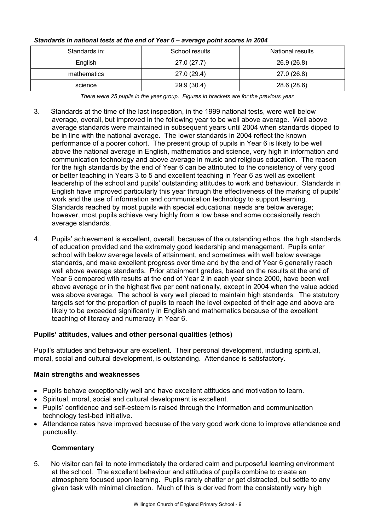| Standards in: | School results | National results |
|---------------|----------------|------------------|
| English       | 27.0(27.7)     | 26.9 (26.8)      |
| mathematics   | 27.0 (29.4)    | 27.0 (26.8)      |
| science       | 29.9 (30.4)    | 28.6 (28.6)      |

## *Standards in national tests at the end of Year 6 – average point scores in 2004*

*There were 25 pupils in the year group. Figures in brackets are for the previous year.* 

- 3. Standards at the time of the last inspection, in the 1999 national tests, were well below average, overall, but improved in the following year to be well above average. Well above average standards were maintained in subsequent years until 2004 when standards dipped to be in line with the national average. The lower standards in 2004 reflect the known performance of a poorer cohort. The present group of pupils in Year 6 is likely to be well above the national average in English, mathematics and science, very high in information and communication technology and above average in music and religious education. The reason for the high standards by the end of Year 6 can be attributed to the consistency of very good or better teaching in Years 3 to 5 and excellent teaching in Year 6 as well as excellent leadership of the school and pupils' outstanding attitudes to work and behaviour. Standards in English have improved particularly this year through the effectiveness of the marking of pupils' work and the use of information and communication technology to support learning. Standards reached by most pupils with special educational needs are below average; however, most pupils achieve very highly from a low base and some occasionally reach average standards.
- 4. Pupils' achievement is excellent, overall, because of the outstanding ethos, the high standards of education provided and the extremely good leadership and management. Pupils enter school with below average levels of attainment, and sometimes with well below average standards, and make excellent progress over time and by the end of Year 6 generally reach well above average standards. Prior attainment grades, based on the results at the end of Year 6 compared with results at the end of Year 2 in each year since 2000, have been well above average or in the highest five per cent nationally, except in 2004 when the value added was above average. The school is very well placed to maintain high standards. The statutory targets set for the proportion of pupils to reach the level expected of their age and above are likely to be exceeded significantly in English and mathematics because of the excellent teaching of literacy and numeracy in Year 6.

## **Pupils' attitudes, values and other personal qualities (ethos)**

Pupil's attitudes and behaviour are excellent. Their personal development, including spiritual, moral, social and cultural development, is outstanding. Attendance is satisfactory.

## **Main strengths and weaknesses**

- Pupils behave exceptionally well and have excellent attitudes and motivation to learn.
- Spiritual, moral, social and cultural development is excellent.
- Pupils' confidence and self-esteem is raised through the information and communication technology test-bed initiative.
- Attendance rates have improved because of the very good work done to improve attendance and punctuality.

## **Commentary**

5. No visitor can fail to note immediately the ordered calm and purposeful learning environment at the school. The excellent behaviour and attitudes of pupils combine to create an atmosphere focused upon learning. Pupils rarely chatter or get distracted, but settle to any given task with minimal direction. Much of this is derived from the consistently very high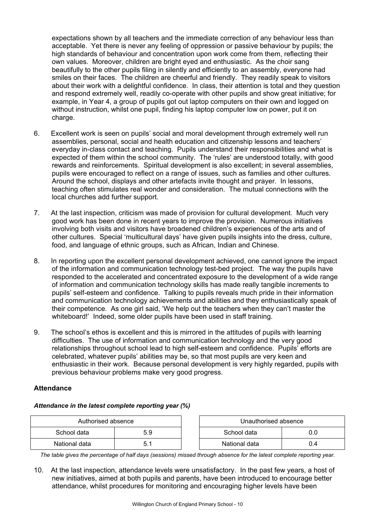expectations shown by all teachers and the immediate correction of any behaviour less than acceptable. Yet there is never any feeling of oppression or passive behaviour by pupils; the high standards of behaviour and concentration upon work come from them, reflecting their own values. Moreover, children are bright eyed and enthusiastic. As the choir sang beautifully to the other pupils filing in silently and efficiently to an assembly, everyone had smiles on their faces. The children are cheerful and friendly. They readily speak to visitors about their work with a delightful confidence. In class, their attention is total and they question and respond extremely well, readily co-operate with other pupils and show great initiative; for example, in Year 4, a group of pupils got out laptop computers on their own and logged on without instruction, whilst one pupil, finding his laptop computer low on power, put it on charge.

- 6. Excellent work is seen on pupils' social and moral development through extremely well run assemblies, personal, social and health education and citizenship lessons and teachers' everyday in-class contact and teaching. Pupils understand their responsibilities and what is expected of them within the school community. The 'rules' are understood totally, with good rewards and reinforcements. Spiritual development is also excellent; in several assemblies, pupils were encouraged to reflect on a range of issues, such as families and other cultures. Around the school, displays and other artefacts invite thought and prayer. In lessons, teaching often stimulates real wonder and consideration. The mutual connections with the local churches add further support.
- 7. At the last inspection, criticism was made of provision for cultural development. Much very good work has been done in recent years to improve the provision. Numerous initiatives involving both visits and visitors have broadened children's experiences of the arts and of other cultures. Special 'multicultural days' have given pupils insights into the dress, culture, food, and language of ethnic groups, such as African, Indian and Chinese.
- 8. In reporting upon the excellent personal development achieved, one cannot ignore the impact of the information and communication technology test-bed project. The way the pupils have responded to the accelerated and concentrated exposure to the development of a wide range of information and communication technology skills has made really tangible increments to pupils' self-esteem and confidence. Talking to pupils reveals much pride in their information and communication technology achievements and abilities and they enthusiastically speak of their competence. As one girl said, 'We help out the teachers when they can't master the whiteboard!' Indeed, some older pupils have been used in staff training.
- 9. The school's ethos is excellent and this is mirrored in the attitudes of pupils with learning difficulties. The use of information and communication technology and the very good relationships throughout school lead to high self-esteem and confidence. Pupils' efforts are celebrated, whatever pupils' abilities may be, so that most pupils are very keen and enthusiastic in their work. Because personal development is very highly regarded, pupils with previous behaviour problems make very good progress.

## **Attendance**

#### *Attendance in the latest complete reporting year (%)*

| Authorised absence |     | Unauthorised absence |     |
|--------------------|-----|----------------------|-----|
| School data        | 5.9 | School data          |     |
| National data      | 5.1 | National data        | 0.4 |

| Authorised absence<br>Unauthorised absence |     |               |     |
|--------------------------------------------|-----|---------------|-----|
| data                                       | 5.9 | School data   |     |
| data                                       | Б.  | National data | 0.4 |

*The table gives the percentage of half days (sessions) missed through absence for the latest complete reporting year.*

10. At the last inspection, attendance levels were unsatisfactory. In the past few years, a host of new initiatives, aimed at both pupils and parents, have been introduced to encourage better attendance, whilst procedures for monitoring and encouraging higher levels have been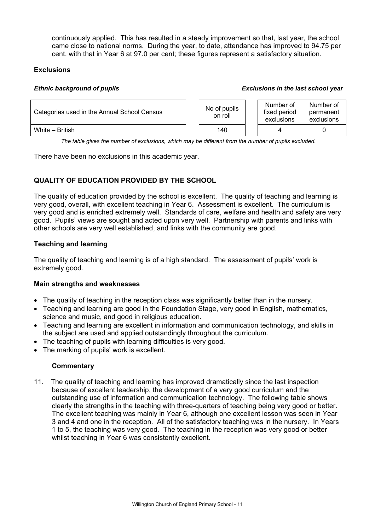continuously applied. This has resulted in a steady improvement so that, last year, the school came close to national norms. During the year, to date, attendance has improved to 94.75 per cent, with that in Year 6 at 97.0 per cent; these figures represent a satisfactory situation.

## **Exclusions**

#### *Ethnic background of pupils Exclusions in the last school year*

| Categories used in the Annual School Census |  | No of pupils<br>on roll | Number of<br>fixed period<br>exclusions | Number of<br>permanent<br>exclusions |
|---------------------------------------------|--|-------------------------|-----------------------------------------|--------------------------------------|
| White - British                             |  | 140                     |                                         |                                      |

*The table gives the number of exclusions, which may be different from the number of pupils excluded.*

There have been no exclusions in this academic year.

## **QUALITY OF EDUCATION PROVIDED BY THE SCHOOL**

The quality of education provided by the school is excellent. The quality of teaching and learning is very good, overall, with excellent teaching in Year 6. Assessment is excellent. The curriculum is very good and is enriched extremely well. Standards of care, welfare and health and safety are very good. Pupils' views are sought and acted upon very well. Partnership with parents and links with other schools are very well established, and links with the community are good.

## **Teaching and learning**

The quality of teaching and learning is of a high standard. The assessment of pupils' work is extremely good.

## **Main strengths and weaknesses**

- The quality of teaching in the reception class was significantly better than in the nursery.
- Teaching and learning are good in the Foundation Stage, very good in English, mathematics, science and music, and good in religious education.
- Teaching and learning are excellent in information and communication technology, and skills in the subject are used and applied outstandingly throughout the curriculum.
- The teaching of pupils with learning difficulties is very good.
- The marking of pupils' work is excellent.

## **Commentary**

11. The quality of teaching and learning has improved dramatically since the last inspection because of excellent leadership, the development of a very good curriculum and the outstanding use of information and communication technology. The following table shows clearly the strengths in the teaching with three-quarters of teaching being very good or better. The excellent teaching was mainly in Year 6, although one excellent lesson was seen in Year 3 and 4 and one in the reception. All of the satisfactory teaching was in the nursery. In Years 1 to 5, the teaching was very good. The teaching in the reception was very good or better whilst teaching in Year 6 was consistently excellent.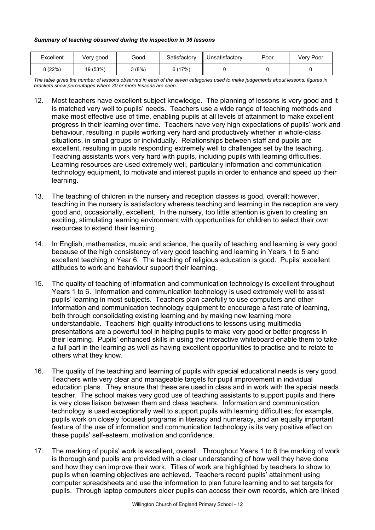#### *Summary of teaching observed during the inspection in 36 lessons*

| Excellent | Verv good | Good  | Satisfactory | Unsatisfactory | Poor | Verv Poor |
|-----------|-----------|-------|--------------|----------------|------|-----------|
| 3 (22%)   | 19 (53%)  | 3(8%) | 6(17%)       |                |      |           |

*The table gives the number of lessons observed in each of the seven categories used to make judgements about lessons; figures in brackets show percentages where 30 or more lessons are seen.* 

- 12. Most teachers have excellent subject knowledge. The planning of lessons is very good and it is matched very well to pupils' needs. Teachers use a wide range of teaching methods and make most effective use of time, enabling pupils at all levels of attainment to make excellent progress in their learning over time. Teachers have very high expectations of pupils' work and behaviour, resulting in pupils working very hard and productively whether in whole-class situations, in small groups or individually. Relationships between staff and pupils are excellent, resulting in pupils responding extremely well to challenges set by the teaching. Teaching assistants work very hard with pupils, including pupils with learning difficulties. Learning resources are used extremely well, particularly information and communication technology equipment, to motivate and interest pupils in order to enhance and speed up their learning.
- 13. The teaching of children in the nursery and reception classes is good, overall; however, teaching in the nursery is satisfactory whereas teaching and learning in the reception are very good and, occasionally, excellent. In the nursery, too little attention is given to creating an exciting, stimulating learning environment with opportunities for children to select their own resources to extend their learning.
- 14. In English, mathematics, music and science, the quality of teaching and learning is very good because of the high consistency of very good teaching and learning in Years 1 to 5 and excellent teaching in Year 6. The teaching of religious education is good. Pupils' excellent attitudes to work and behaviour support their learning.
- 15. The quality of teaching of information and communication technology is excellent throughout Years 1 to 6. Information and communication technology is used extremely well to assist pupils' learning in most subjects. Teachers plan carefully to use computers and other information and communication technology equipment to encourage a fast rate of learning, both through consolidating existing learning and by making new learning more understandable. Teachers' high quality introductions to lessons using multimedia presentations are a powerful tool in helping pupils to make very good or better progress in their learning. Pupils' enhanced skills in using the interactive whiteboard enable them to take a full part in the learning as well as having excellent opportunities to practise and to relate to others what they know.
- 16. The quality of the teaching and learning of pupils with special educational needs is very good. Teachers write very clear and manageable targets for pupil improvement in individual education plans. They ensure that these are used in class and in work with the special needs teacher. The school makes very good use of teaching assistants to support pupils and there is very close liaison between them and class teachers. Information and communication technology is used exceptionally well to support pupils with learning difficulties; for example, pupils work on closely focused programs in literacy and numeracy, and an equally important feature of the use of information and communication technology is its very positive effect on these pupils' self-esteem, motivation and confidence.
- 17. The marking of pupils' work is excellent, overall. Throughout Years 1 to 6 the marking of work is thorough and pupils are provided with a clear understanding of how well they have done and how they can improve their work. Titles of work are highlighted by teachers to show to pupils when learning objectives are achieved. Teachers record pupils' attainment using computer spreadsheets and use the information to plan future learning and to set targets for pupils. Through laptop computers older pupils can access their own records, which are linked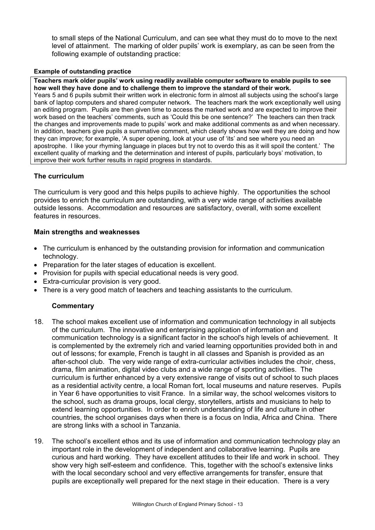to small steps of the National Curriculum, and can see what they must do to move to the next level of attainment. The marking of older pupils' work is exemplary, as can be seen from the following example of outstanding practice:

## **Example of outstanding practice**

**Teachers mark older pupils' work using readily available computer software to enable pupils to see how well they have done and to challenge them to improve the standard of their work.**  Years 5 and 6 pupils submit their written work in electronic form in almost all subjects using the school's large bank of laptop computers and shared computer network. The teachers mark the work exceptionally well using an editing program. Pupils are then given time to access the marked work and are expected to improve their work based on the teachers' comments, such as 'Could this be one sentence?' The teachers can then track the changes and improvements made to pupils' work and make additional comments as and when necessary. In addition, teachers give pupils a summative comment, which clearly shows how well they are doing and how they can improve; for example, 'A super opening, look at your use of 'its' and see where you need an apostrophe. I like your rhyming language in places but try not to overdo this as it will spoil the content.' The excellent quality of marking and the determination and interest of pupils, particularly boys' motivation, to improve their work further results in rapid progress in standards.

## **The curriculum**

The curriculum is very good and this helps pupils to achieve highly. The opportunities the school provides to enrich the curriculum are outstanding, with a very wide range of activities available outside lessons. Accommodation and resources are satisfactory, overall, with some excellent features in resources.

## **Main strengths and weaknesses**

- The curriculum is enhanced by the outstanding provision for information and communication technology.
- Preparation for the later stages of education is excellent.
- Provision for pupils with special educational needs is very good.
- Extra-curricular provision is very good.
- There is a very good match of teachers and teaching assistants to the curriculum.

- 18. The school makes excellent use of information and communication technology in all subjects of the curriculum. The innovative and enterprising application of information and communication technology is a significant factor in the school's high levels of achievement. It is complemented by the extremely rich and varied learning opportunities provided both in and out of lessons; for example, French is taught in all classes and Spanish is provided as an after-school club. The very wide range of extra-curricular activities includes the choir, chess, drama, film animation, digital video clubs and a wide range of sporting activities. The curriculum is further enhanced by a very extensive range of visits out of school to such places as a residential activity centre, a local Roman fort, local museums and nature reserves. Pupils in Year 6 have opportunities to visit France. In a similar way, the school welcomes visitors to the school, such as drama groups, local clergy, storytellers, artists and musicians to help to extend learning opportunities. In order to enrich understanding of life and culture in other countries, the school organises days when there is a focus on India, Africa and China. There are strong links with a school in Tanzania.
- 19. The school's excellent ethos and its use of information and communication technology play an important role in the development of independent and collaborative learning. Pupils are curious and hard working. They have excellent attitudes to their life and work in school. They show very high self-esteem and confidence. This, together with the school's extensive links with the local secondary school and very effective arrangements for transfer, ensure that pupils are exceptionally well prepared for the next stage in their education. There is a very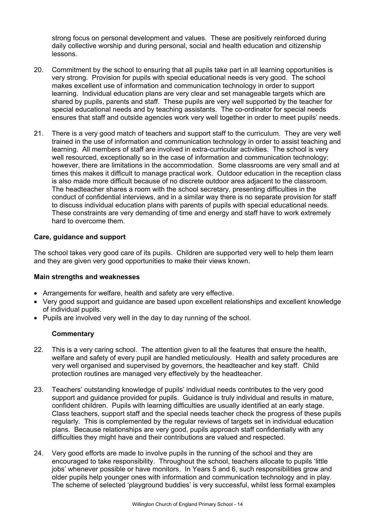strong focus on personal development and values. These are positively reinforced during daily collective worship and during personal, social and health education and citizenship lessons.

- 20. Commitment by the school to ensuring that all pupils take part in all learning opportunities is very strong. Provision for pupils with special educational needs is very good. The school makes excellent use of information and communication technology in order to support learning. Individual education plans are very clear and set manageable targets which are shared by pupils, parents and staff. These pupils are very well supported by the teacher for special educational needs and by teaching assistants. The co-ordinator for special needs ensures that staff and outside agencies work very well together in order to meet pupils' needs.
- 21. There is a very good match of teachers and support staff to the curriculum. They are very well trained in the use of information and communication technology in order to assist teaching and learning. All members of staff are involved in extra-curricular activities. The school is very well resourced, exceptionally so in the case of information and communication technology; however, there are limitations in the accommodation. Some classrooms are very small and at times this makes it difficult to manage practical work. Outdoor education in the reception class is also made more difficult because of no discrete outdoor area adjacent to the classroom. The headteacher shares a room with the school secretary, presenting difficulties in the conduct of confidential interviews, and in a similar way there is no separate provision for staff to discuss individual education plans with parents of pupils with special educational needs. These constraints are very demanding of time and energy and staff have to work extremely hard to overcome them.

## **Care, guidance and support**

The school takes very good care of its pupils. Children are supported very well to help them learn and they are given very good opportunities to make their views known.

## **Main strengths and weaknesses**

- Arrangements for welfare, health and safety are very effective.
- Very good support and guidance are based upon excellent relationships and excellent knowledge of individual pupils.
- Pupils are involved very well in the day to day running of the school.

- 22. This is a very caring school. The attention given to all the features that ensure the health, welfare and safety of every pupil are handled meticulously. Health and safety procedures are very well organised and supervised by governors, the headteacher and key staff. Child protection routines are managed very effectively by the headteacher.
- 23. Teachers' outstanding knowledge of pupils' individual needs contributes to the very good support and guidance provided for pupils. Guidance is truly individual and results in mature, confident children. Pupils with learning difficulties are usually identified at an early stage. Class teachers, support staff and the special needs teacher check the progress of these pupils regularly. This is complemented by the regular reviews of targets set in individual education plans. Because relationships are very good, pupils approach staff confidentially with any difficulties they might have and their contributions are valued and respected.
- 24. Very good efforts are made to involve pupils in the running of the school and they are encouraged to take responsibility. Throughout the school, teachers allocate to pupils 'little jobs' whenever possible or have monitors. In Years 5 and 6, such responsibilities grow and older pupils help younger ones with information and communication technology and in play. The scheme of selected 'playground buddies' is very successful, whilst less formal examples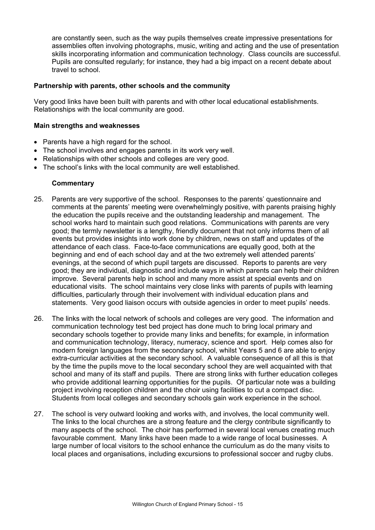are constantly seen, such as the way pupils themselves create impressive presentations for assemblies often involving photographs, music, writing and acting and the use of presentation skills incorporating information and communication technology. Class councils are successful. Pupils are consulted regularly; for instance, they had a big impact on a recent debate about travel to school.

## **Partnership with parents, other schools and the community**

Very good links have been built with parents and with other local educational establishments. Relationships with the local community are good.

#### **Main strengths and weaknesses**

- Parents have a high regard for the school.
- The school involves and engages parents in its work very well.
- Relationships with other schools and colleges are very good.
- The school's links with the local community are well established.

- 25. Parents are very supportive of the school. Responses to the parents' questionnaire and comments at the parents' meeting were overwhelmingly positive, with parents praising highly the education the pupils receive and the outstanding leadership and management. The school works hard to maintain such good relations. Communications with parents are very good; the termly newsletter is a lengthy, friendly document that not only informs them of all events but provides insights into work done by children, news on staff and updates of the attendance of each class. Face-to-face communications are equally good, both at the beginning and end of each school day and at the two extremely well attended parents' evenings, at the second of which pupil targets are discussed. Reports to parents are very good; they are individual, diagnostic and include ways in which parents can help their children improve. Several parents help in school and many more assist at special events and on educational visits. The school maintains very close links with parents of pupils with learning difficulties, particularly through their involvement with individual education plans and statements. Very good liaison occurs with outside agencies in order to meet pupils' needs.
- 26. The links with the local network of schools and colleges are very good. The information and communication technology test bed project has done much to bring local primary and secondary schools together to provide many links and benefits; for example, in information and communication technology, literacy, numeracy, science and sport. Help comes also for modern foreign languages from the secondary school, whilst Years 5 and 6 are able to enjoy extra-curricular activities at the secondary school. A valuable consequence of all this is that by the time the pupils move to the local secondary school they are well acquainted with that school and many of its staff and pupils. There are strong links with further education colleges who provide additional learning opportunities for the pupils. Of particular note was a building project involving reception children and the choir using facilities to cut a compact disc. Students from local colleges and secondary schools gain work experience in the school.
- 27. The school is very outward looking and works with, and involves, the local community well. The links to the local churches are a strong feature and the clergy contribute significantly to many aspects of the school. The choir has performed in several local venues creating much favourable comment. Many links have been made to a wide range of local businesses. A large number of local visitors to the school enhance the curriculum as do the many visits to local places and organisations, including excursions to professional soccer and rugby clubs.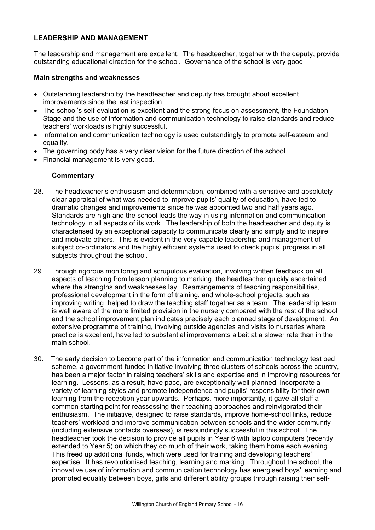## **LEADERSHIP AND MANAGEMENT**

The leadership and management are excellent. The headteacher, together with the deputy, provide outstanding educational direction for the school. Governance of the school is very good.

#### **Main strengths and weaknesses**

- Outstanding leadership by the headteacher and deputy has brought about excellent improvements since the last inspection.
- The school's self-evaluation is excellent and the strong focus on assessment, the Foundation Stage and the use of information and communication technology to raise standards and reduce teachers' workloads is highly successful.
- Information and communication technology is used outstandingly to promote self-esteem and equality.
- The governing body has a very clear vision for the future direction of the school.
- Financial management is very good.

- 28. The headteacher's enthusiasm and determination, combined with a sensitive and absolutely clear appraisal of what was needed to improve pupils' quality of education, have led to dramatic changes and improvements since he was appointed two and half years ago. Standards are high and the school leads the way in using information and communication technology in all aspects of its work. The leadership of both the headteacher and deputy is characterised by an exceptional capacity to communicate clearly and simply and to inspire and motivate others. This is evident in the very capable leadership and management of subject co-ordinators and the highly efficient systems used to check pupils' progress in all subjects throughout the school.
- 29. Through rigorous monitoring and scrupulous evaluation, involving written feedback on all aspects of teaching from lesson planning to marking, the headteacher quickly ascertained where the strengths and weaknesses lay. Rearrangements of teaching responsibilities, professional development in the form of training, and whole-school projects, such as improving writing, helped to draw the teaching staff together as a team. The leadership team is well aware of the more limited provision in the nursery compared with the rest of the school and the school improvement plan indicates precisely each planned stage of development. An extensive programme of training, involving outside agencies and visits to nurseries where practice is excellent, have led to substantial improvements albeit at a slower rate than in the main school.
- 30. The early decision to become part of the information and communication technology test bed scheme, a government-funded initiative involving three clusters of schools across the country, has been a major factor in raising teachers' skills and expertise and in improving resources for learning. Lessons, as a result, have pace, are exceptionally well planned, incorporate a variety of learning styles and promote independence and pupils' responsibility for their own learning from the reception year upwards. Perhaps, more importantly, it gave all staff a common starting point for reassessing their teaching approaches and reinvigorated their enthusiasm. The initiative, designed to raise standards, improve home-school links, reduce teachers' workload and improve communication between schools and the wider community (including extensive contacts overseas), is resoundingly successful in this school. The headteacher took the decision to provide all pupils in Year 6 with laptop computers (recently extended to Year 5) on which they do much of their work, taking them home each evening. This freed up additional funds, which were used for training and developing teachers' expertise. It has revolutionised teaching, learning and marking. Throughout the school, the innovative use of information and communication technology has energised boys' learning and promoted equality between boys, girls and different ability groups through raising their self-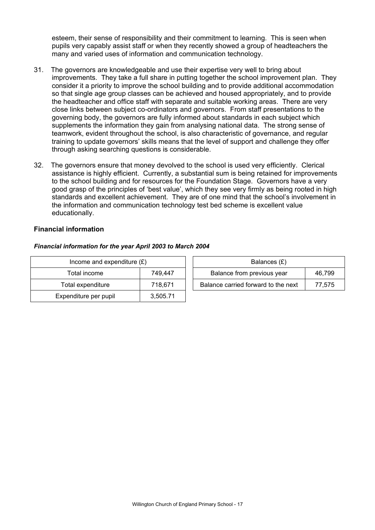esteem, their sense of responsibility and their commitment to learning. This is seen when pupils very capably assist staff or when they recently showed a group of headteachers the many and varied uses of information and communication technology.

- 31. The governors are knowledgeable and use their expertise very well to bring about improvements. They take a full share in putting together the school improvement plan. They consider it a priority to improve the school building and to provide additional accommodation so that single age group classes can be achieved and housed appropriately, and to provide the headteacher and office staff with separate and suitable working areas. There are very close links between subject co-ordinators and governors. From staff presentations to the governing body, the governors are fully informed about standards in each subject which supplements the information they gain from analysing national data. The strong sense of teamwork, evident throughout the school, is also characteristic of governance, and regular training to update governors' skills means that the level of support and challenge they offer through asking searching questions is considerable.
- 32. The governors ensure that money devolved to the school is used very efficiently. Clerical assistance is highly efficient. Currently, a substantial sum is being retained for improvements to the school building and for resources for the Foundation Stage. Governors have a very good grasp of the principles of 'best value', which they see very firmly as being rooted in high standards and excellent achievement. They are of one mind that the school's involvement in the information and communication technology test bed scheme is excellent value educationally.

## **Financial information**

## *Financial information for the year April 2003 to March 2004*

| Income and expenditure $(E)$ |          | Balances (£)                        |        |
|------------------------------|----------|-------------------------------------|--------|
| Total income                 | 749.447  | Balance from previous year          | 46.799 |
| Total expenditure            | 718.671  | Balance carried forward to the next | 77.575 |
| Expenditure per pupil        | 3,505.71 |                                     |        |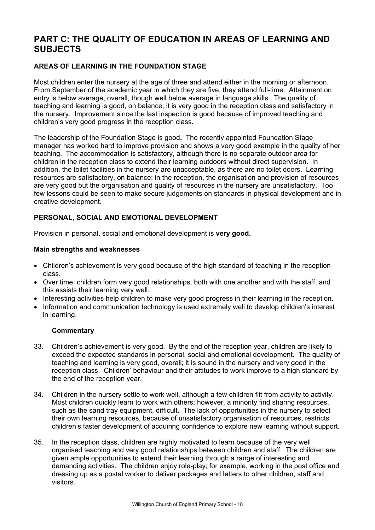# **PART C: THE QUALITY OF EDUCATION IN AREAS OF LEARNING AND SUBJECTS**

## **AREAS OF LEARNING IN THE FOUNDATION STAGE**

Most children enter the nursery at the age of three and attend either in the morning or afternoon. From September of the academic year in which they are five, they attend full-time. Attainment on entry is below average, overall, though well below average in language skills. The quality of teaching and learning is good, on balance; it is very good in the reception class and satisfactory in the nursery. Improvement since the last inspection is good because of improved teaching and children's very good progress in the reception class.

The leadership of the Foundation Stage is good**.** The recently appointed Foundation Stage manager has worked hard to improve provision and shows a very good example in the quality of her teaching. The accommodation is satisfactory, although there is no separate outdoor area for children in the reception class to extend their learning outdoors without direct supervision. In addition, the toilet facilities in the nursery are unacceptable, as there are no toilet doors. Learning resources are satisfactory, on balance; in the reception, the organisation and provision of resources are very good but the organisation and quality of resources in the nursery are unsatisfactory. Too few lessons could be seen to make secure judgements on standards in physical development and in creative development.

## **PERSONAL, SOCIAL AND EMOTIONAL DEVELOPMENT**

Provision in personal, social and emotional development is **very good.** 

## **Main strengths and weaknesses**

- Children's achievement is very good because of the high standard of teaching in the reception class.
- Over time, children form very good relationships, both with one another and with the staff, and this assists their learning very well.
- Interesting activities help children to make very good progress in their learning in the reception.
- Information and communication technology is used extremely well to develop children's interest in learning.

- 33. Children's achievement is very good. By the end of the reception year, children are likely to exceed the expected standards in personal, social and emotional development. The quality of teaching and learning is very good, overall; it is sound in the nursery and very good in the reception class. Children' behaviour and their attitudes to work improve to a high standard by the end of the reception year.
- 34. Children in the nursery settle to work well, although a few children flit from activity to activity. Most children quickly learn to work with others; however, a minority find sharing resources, such as the sand tray equipment, difficult. The lack of opportunities in the nursery to select their own learning resources, because of unsatisfactory organisation of resources, restricts children's faster development of acquiring confidence to explore new learning without support.
- 35. In the reception class, children are highly motivated to learn because of the very well organised teaching and very good relationships between children and staff. The children are given ample opportunities to extend their learning through a range of interesting and demanding activities. The children enjoy role-play; for example, working in the post office and dressing up as a postal worker to deliver packages and letters to other children, staff and visitors.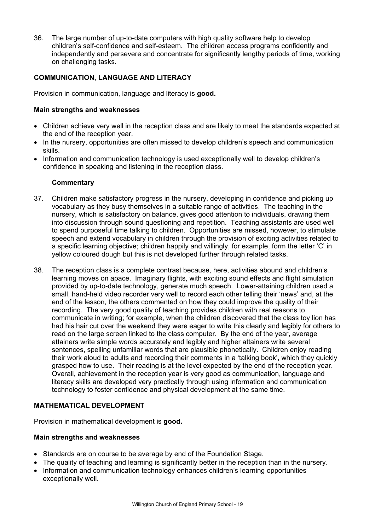36. The large number of up-to-date computers with high quality software help to develop children's self-confidence and self-esteem. The children access programs confidently and independently and persevere and concentrate for significantly lengthy periods of time, working on challenging tasks.

## **COMMUNICATION, LANGUAGE AND LITERACY**

Provision in communication, language and literacy is **good.** 

## **Main strengths and weaknesses**

- Children achieve very well in the reception class and are likely to meet the standards expected at the end of the reception year.
- In the nursery, opportunities are often missed to develop children's speech and communication skills.
- Information and communication technology is used exceptionally well to develop children's confidence in speaking and listening in the reception class.

## **Commentary**

- 37. Children make satisfactory progress in the nursery, developing in confidence and picking up vocabulary as they busy themselves in a suitable range of activities. The teaching in the nursery, which is satisfactory on balance, gives good attention to individuals, drawing them into discussion through sound questioning and repetition. Teaching assistants are used well to spend purposeful time talking to children. Opportunities are missed, however, to stimulate speech and extend vocabulary in children through the provision of exciting activities related to a specific learning objective; children happily and willingly, for example, form the letter 'C' in yellow coloured dough but this is not developed further through related tasks.
- 38. The reception class is a complete contrast because, here, activities abound and children's learning moves on apace. Imaginary flights, with exciting sound effects and flight simulation provided by up-to-date technology, generate much speech. Lower-attaining children used a small, hand-held video recorder very well to record each other telling their 'news' and, at the end of the lesson, the others commented on how they could improve the quality of their recording. The very good quality of teaching provides children with real reasons to communicate in writing; for example, when the children discovered that the class toy lion has had his hair cut over the weekend they were eager to write this clearly and legibly for others to read on the large screen linked to the class computer. By the end of the year, average attainers write simple words accurately and legibly and higher attainers write several sentences, spelling unfamiliar words that are plausible phonetically. Children enjoy reading their work aloud to adults and recording their comments in a 'talking book', which they quickly grasped how to use. Their reading is at the level expected by the end of the reception year. Overall, achievement in the reception year is very good as communication, language and literacy skills are developed very practically through using information and communication technology to foster confidence and physical development at the same time.

## **MATHEMATICAL DEVELOPMENT**

Provision in mathematical development is **good.** 

#### **Main strengths and weaknesses**

- Standards are on course to be average by end of the Foundation Stage.
- The quality of teaching and learning is significantly better in the reception than in the nursery.
- Information and communication technology enhances children's learning opportunities exceptionally well.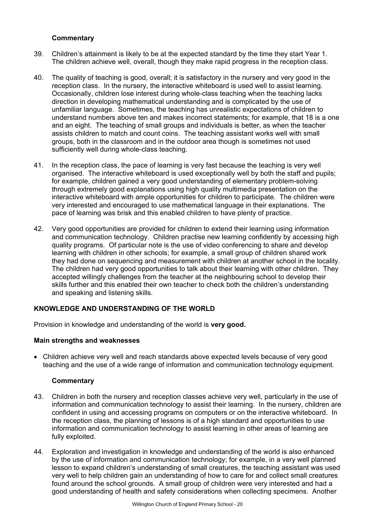## **Commentary**

- 39. Children's attainment is likely to be at the expected standard by the time they start Year 1. The children achieve well, overall, though they make rapid progress in the reception class.
- 40. The quality of teaching is good, overall; it is satisfactory in the nursery and very good in the reception class. In the nursery, the interactive whiteboard is used well to assist learning. Occasionally, children lose interest during whole-class teaching when the teaching lacks direction in developing mathematical understanding and is complicated by the use of unfamiliar language. Sometimes, the teaching has unrealistic expectations of children to understand numbers above ten and makes incorrect statements; for example, that 18 is a one and an eight. The teaching of small groups and individuals is better, as when the teacher assists children to match and count coins. The teaching assistant works well with small groups, both in the classroom and in the outdoor area though is sometimes not used sufficiently well during whole-class teaching.
- 41. In the reception class, the pace of learning is very fast because the teaching is very well organised. The interactive whiteboard is used exceptionally well by both the staff and pupils; for example, children gained a very good understanding of elementary problem-solving through extremely good explanations using high quality multimedia presentation on the interactive whiteboard with ample opportunities for children to participate. The children were very interested and encouraged to use mathematical language in their explanations. The pace of learning was brisk and this enabled children to have plenty of practice.
- 42. Very good opportunities are provided for children to extend their learning using information and communication technology. Children practise new learning confidently by accessing high quality programs. Of particular note is the use of video conferencing to share and develop learning with children in other schools; for example, a small group of children shared work they had done on sequencing and measurement with children at another school in the locality. The children had very good opportunities to talk about their learning with other children. They accepted willingly challenges from the teacher at the neighbouring school to develop their skills further and this enabled their own teacher to check both the children's understanding and speaking and listening skills.

## **KNOWLEDGE AND UNDERSTANDING OF THE WORLD**

Provision in knowledge and understanding of the world is **very good.**

## **Main strengths and weaknesses**

• Children achieve very well and reach standards above expected levels because of very good teaching and the use of a wide range of information and communication technology equipment.

- 43. Children in both the nursery and reception classes achieve very well, particularly in the use of information and communication technology to assist their learning. In the nursery, children are confident in using and accessing programs on computers or on the interactive whiteboard. In the reception class, the planning of lessons is of a high standard and opportunities to use information and communication technology to assist learning in other areas of learning are fully exploited.
- 44. Exploration and investigation in knowledge and understanding of the world is also enhanced by the use of information and communication technology; for example, in a very well planned lesson to expand children's understanding of small creatures, the teaching assistant was used very well to help children gain an understanding of how to care for and collect small creatures found around the school grounds. A small group of children were very interested and had a good understanding of health and safety considerations when collecting specimens. Another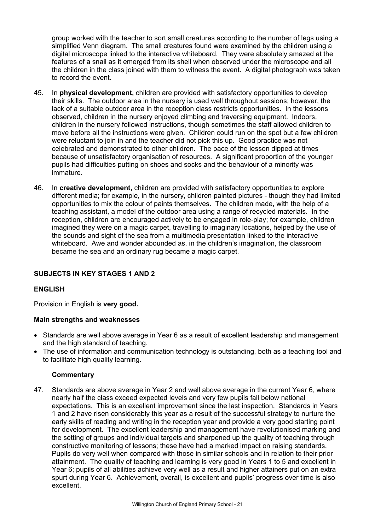group worked with the teacher to sort small creatures according to the number of legs using a simplified Venn diagram. The small creatures found were examined by the children using a digital microscope linked to the interactive whiteboard. They were absolutely amazed at the features of a snail as it emerged from its shell when observed under the microscope and all the children in the class joined with them to witness the event. A digital photograph was taken to record the event.

- 45. In **physical development,** children are provided with satisfactory opportunities to develop their skills. The outdoor area in the nursery is used well throughout sessions; however, the lack of a suitable outdoor area in the reception class restricts opportunities. In the lessons observed, children in the nursery enjoyed climbing and traversing equipment. Indoors, children in the nursery followed instructions, though sometimes the staff allowed children to move before all the instructions were given. Children could run on the spot but a few children were reluctant to join in and the teacher did not pick this up. Good practice was not celebrated and demonstrated to other children. The pace of the lesson dipped at times because of unsatisfactory organisation of resources. A significant proportion of the younger pupils had difficulties putting on shoes and socks and the behaviour of a minority was immature.
- 46. In **creative development,** children are provided with satisfactory opportunities to explore different media; for example, in the nursery, children painted pictures - though they had limited opportunities to mix the colour of paints themselves. The children made, with the help of a teaching assistant, a model of the outdoor area using a range of recycled materials. In the reception, children are encouraged actively to be engaged in role-play; for example, children imagined they were on a magic carpet, travelling to imaginary locations, helped by the use of the sounds and sight of the sea from a multimedia presentation linked to the interactive whiteboard. Awe and wonder abounded as, in the children's imagination, the classroom became the sea and an ordinary rug became a magic carpet.

## **SUBJECTS IN KEY STAGES 1 AND 2**

## **ENGLISH**

Provision in English is **very good.** 

## **Main strengths and weaknesses**

- Standards are well above average in Year 6 as a result of excellent leadership and management and the high standard of teaching.
- The use of information and communication technology is outstanding, both as a teaching tool and to facilitate high quality learning.

## **Commentary**

47. Standards are above average in Year 2 and well above average in the current Year 6, where nearly half the class exceed expected levels and very few pupils fall below national expectations. This is an excellent improvement since the last inspection. Standards in Years 1 and 2 have risen considerably this year as a result of the successful strategy to nurture the early skills of reading and writing in the reception year and provide a very good starting point for development. The excellent leadership and management have revolutionised marking and the setting of groups and individual targets and sharpened up the quality of teaching through constructive monitoring of lessons; these have had a marked impact on raising standards. Pupils do very well when compared with those in similar schools and in relation to their prior attainment. The quality of teaching and learning is very good in Years 1 to 5 and excellent in Year 6; pupils of all abilities achieve very well as a result and higher attainers put on an extra spurt during Year 6. Achievement, overall, is excellent and pupils' progress over time is also excellent.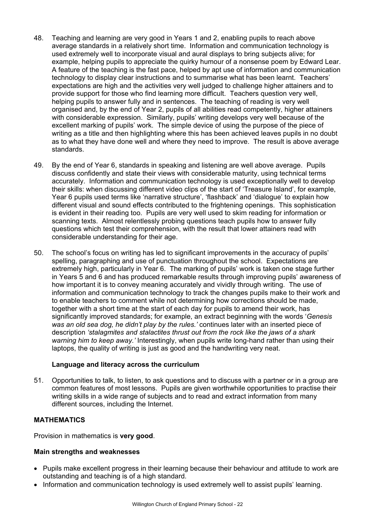- 48. Teaching and learning are very good in Years 1 and 2, enabling pupils to reach above average standards in a relatively short time. Information and communication technology is used extremely well to incorporate visual and aural displays to bring subjects alive; for example, helping pupils to appreciate the quirky humour of a nonsense poem by Edward Lear. A feature of the teaching is the fast pace, helped by apt use of information and communication technology to display clear instructions and to summarise what has been learnt. Teachers' expectations are high and the activities very well judged to challenge higher attainers and to provide support for those who find learning more difficult. Teachers question very well, helping pupils to answer fully and in sentences. The teaching of reading is very well organised and, by the end of Year 2, pupils of all abilities read competently, higher attainers with considerable expression. Similarly, pupils' writing develops very well because of the excellent marking of pupils' work. The simple device of using the purpose of the piece of writing as a title and then highlighting where this has been achieved leaves pupils in no doubt as to what they have done well and where they need to improve. The result is above average standards.
- 49. By the end of Year 6, standards in speaking and listening are well above average. Pupils discuss confidently and state their views with considerable maturity, using technical terms accurately. Information and communication technology is used exceptionally well to develop their skills: when discussing different video clips of the start of 'Treasure Island', for example, Year 6 pupils used terms like 'narrative structure', 'flashback' and 'dialogue' to explain how different visual and sound effects contributed to the frightening openings. This sophistication is evident in their reading too. Pupils are very well used to skim reading for information or scanning texts. Almost relentlessly probing questions teach pupils how to answer fully questions which test their comprehension, with the result that lower attainers read with considerable understanding for their age.
- 50. The school's focus on writing has led to significant improvements in the accuracy of pupils' spelling, paragraphing and use of punctuation throughout the school. Expectations are extremely high, particularly in Year 6. The marking of pupils' work is taken one stage further in Years 5 and 6 and has produced remarkable results through improving pupils' awareness of how important it is to convey meaning accurately and vividly through writing. The use of information and communication technology to track the changes pupils make to their work and to enable teachers to comment while not determining how corrections should be made, together with a short time at the start of each day for pupils to amend their work, has significantly improved standards; for example, an extract beginning with the words '*Genesis was an old sea dog, he didn't play by the rules.'* continues later with an inserted piece of description *'stalagmites and stalactites thrust out from the rock like the jaws of a shark warning him to keep away.'* Interestingly, when pupils write long-hand rather than using their laptops, the quality of writing is just as good and the handwriting very neat.

## **Language and literacy across the curriculum**

51. Opportunities to talk, to listen, to ask questions and to discuss with a partner or in a group are common features of most lessons. Pupils are given worthwhile opportunities to practise their writing skills in a wide range of subjects and to read and extract information from many different sources, including the Internet.

## **MATHEMATICS**

Provision in mathematics is **very good**.

## **Main strengths and weaknesses**

- Pupils make excellent progress in their learning because their behaviour and attitude to work are outstanding and teaching is of a high standard*.*
- Information and communication technology is used extremely well to assist pupils' learning.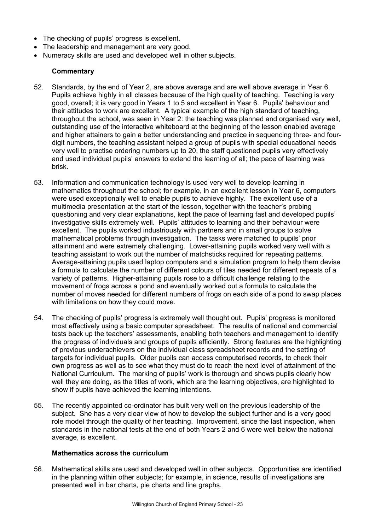- The checking of pupils' progress is excellent.
- The leadership and management are very good.
- Numeracy skills are used and developed well in other subjects.

## **Commentary**

- 52. Standards, by the end of Year 2, are above average and are well above average in Year 6. Pupils achieve highly in all classes because of the high quality of teaching. Teaching is very good, overall; it is very good in Years 1 to 5 and excellent in Year 6. Pupils' behaviour and their attitudes to work are excellent. A typical example of the high standard of teaching, throughout the school, was seen in Year 2: the teaching was planned and organised very well, outstanding use of the interactive whiteboard at the beginning of the lesson enabled average and higher attainers to gain a better understanding and practice in sequencing three- and fourdigit numbers, the teaching assistant helped a group of pupils with special educational needs very well to practise ordering numbers up to 20, the staff questioned pupils very effectively and used individual pupils' answers to extend the learning of all; the pace of learning was brisk.
- 53. Information and communication technology is used very well to develop learning in mathematics throughout the school; for example, in an excellent lesson in Year 6, computers were used exceptionally well to enable pupils to achieve highly. The excellent use of a multimedia presentation at the start of the lesson, together with the teacher's probing questioning and very clear explanations, kept the pace of learning fast and developed pupils' investigative skills extremely well. Pupils' attitudes to learning and their behaviour were excellent. The pupils worked industriously with partners and in small groups to solve mathematical problems through investigation. The tasks were matched to pupils' prior attainment and were extremely challenging. Lower-attaining pupils worked very well with a teaching assistant to work out the number of matchsticks required for repeating patterns. Average-attaining pupils used laptop computers and a simulation program to help them devise a formula to calculate the number of different colours of tiles needed for different repeats of a variety of patterns. Higher-attaining pupils rose to a difficult challenge relating to the movement of frogs across a pond and eventually worked out a formula to calculate the number of moves needed for different numbers of frogs on each side of a pond to swap places with limitations on how they could move.
- 54. The checking of pupils' progress is extremely well thought out. Pupils' progress is monitored most effectively using a basic computer spreadsheet. The results of national and commercial tests back up the teachers' assessments, enabling both teachers and management to identify the progress of individuals and groups of pupils efficiently. Strong features are the highlighting of previous underachievers on the individual class spreadsheet records and the setting of targets for individual pupils. Older pupils can access computerised records, to check their own progress as well as to see what they must do to reach the next level of attainment of the National Curriculum. The marking of pupils' work is thorough and shows pupils clearly how well they are doing, as the titles of work, which are the learning objectives, are highlighted to show if pupils have achieved the learning intentions.
- 55. The recently appointed co-ordinator has built very well on the previous leadership of the subject. She has a very clear view of how to develop the subject further and is a very good role model through the quality of her teaching. Improvement, since the last inspection, when standards in the national tests at the end of both Years 2 and 6 were well below the national average, is excellent.

#### **Mathematics across the curriculum**

56. Mathematical skills are used and developed well in other subjects. Opportunities are identified in the planning within other subjects; for example, in science, results of investigations are presented well in bar charts, pie charts and line graphs.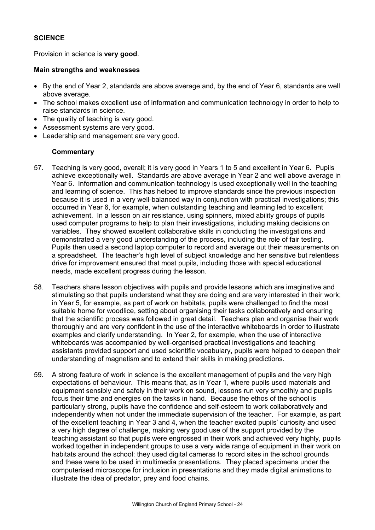## **SCIENCE**

Provision in science is **very good**.

#### **Main strengths and weaknesses**

- By the end of Year 2, standards are above average and, by the end of Year 6, standards are well above average.
- The school makes excellent use of information and communication technology in order to help to raise standards in science.
- The quality of teaching is very good.
- Assessment systems are very good.
- Leadership and management are very good.

- 57. Teaching is very good, overall; it is very good in Years 1 to 5 and excellent in Year 6. Pupils achieve exceptionally well. Standards are above average in Year 2 and well above average in Year 6. Information and communication technology is used exceptionally well in the teaching and learning of science. This has helped to improve standards since the previous inspection because it is used in a very well-balanced way in conjunction with practical investigations; this occurred in Year 6, for example, when outstanding teaching and learning led to excellent achievement. In a lesson on air resistance, using spinners, mixed ability groups of pupils used computer programs to help to plan their investigations, including making decisions on variables. They showed excellent collaborative skills in conducting the investigations and demonstrated a very good understanding of the process, including the role of fair testing. Pupils then used a second laptop computer to record and average out their measurements on a spreadsheet. The teacher's high level of subject knowledge and her sensitive but relentless drive for improvement ensured that most pupils, including those with special educational needs, made excellent progress during the lesson.
- 58. Teachers share lesson objectives with pupils and provide lessons which are imaginative and stimulating so that pupils understand what they are doing and are very interested in their work; in Year 5, for example, as part of work on habitats, pupils were challenged to find the most suitable home for woodlice, setting about organising their tasks collaboratively and ensuring that the scientific process was followed in great detail. Teachers plan and organise their work thoroughly and are very confident in the use of the interactive whiteboards in order to illustrate examples and clarify understanding. In Year 2, for example, when the use of interactive whiteboards was accompanied by well-organised practical investigations and teaching assistants provided support and used scientific vocabulary, pupils were helped to deepen their understanding of magnetism and to extend their skills in making predictions.
- 59. A strong feature of work in science is the excellent management of pupils and the very high expectations of behaviour. This means that, as in Year 1, where pupils used materials and equipment sensibly and safely in their work on sound, lessons run very smoothly and pupils focus their time and energies on the tasks in hand. Because the ethos of the school is particularly strong, pupils have the confidence and self-esteem to work collaboratively and independently when not under the immediate supervision of the teacher. For example, as part of the excellent teaching in Year 3 and 4, when the teacher excited pupils' curiosity and used a very high degree of challenge, making very good use of the support provided by the teaching assistant so that pupils were engrossed in their work and achieved very highly, pupils worked together in independent groups to use a very wide range of equipment in their work on habitats around the school: they used digital cameras to record sites in the school grounds and these were to be used in multimedia presentations. They placed specimens under the computerised microscope for inclusion in presentations and they made digital animations to illustrate the idea of predator, prey and food chains.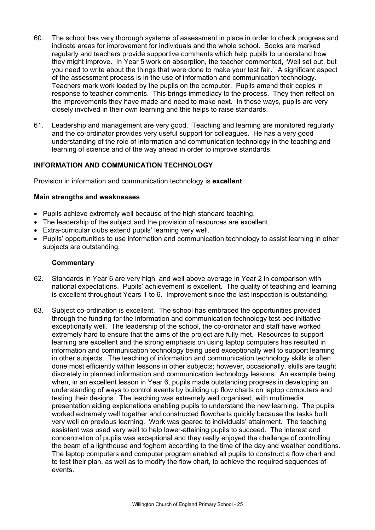- 60. The school has very thorough systems of assessment in place in order to check progress and indicate areas for improvement for individuals and the whole school. Books are marked regularly and teachers provide supportive comments which help pupils to understand how they might improve. In Year 5 work on absorption, the teacher commented, 'Well set out, but you need to write about the things that were done to make your test fair.' A significant aspect of the assessment process is in the use of information and communication technology. Teachers mark work loaded by the pupils on the computer. Pupils amend their copies in response to teacher comments. This brings immediacy to the process. They then reflect on the improvements they have made and need to make next. In these ways, pupils are very closely involved in their own learning and this helps to raise standards.
- 61. Leadership and management are very good. Teaching and learning are monitored regularly and the co-ordinator provides very useful support for colleagues. He has a very good understanding of the role of information and communication technology in the teaching and learning of science and of the way ahead in order to improve standards.

## **INFORMATION AND COMMUNICATION TECHNOLOGY**

Provision in information and communication technology is **excellent**.

## **Main strengths and weaknesses**

- Pupils achieve extremely well because of the high standard teaching.
- The leadership of the subject and the provision of resources are excellent.
- Extra-curricular clubs extend pupils' learning very well.
- Pupils' opportunities to use information and communication technology to assist learning in other subjects are outstanding.

- 62. Standards in Year 6 are very high, and well above average in Year 2 in comparison with national expectations. Pupils' achievement is excellent. The quality of teaching and learning is excellent throughout Years 1 to 6. Improvement since the last inspection is outstanding.
- 63. Subject co-ordination is excellent. The school has embraced the opportunities provided through the funding for the information and communication technology test-bed initiative exceptionally well. The leadership of the school, the co-ordinator and staff have worked extremely hard to ensure that the aims of the project are fully met. Resources to support learning are excellent and the strong emphasis on using laptop computers has resulted in information and communication technology being used exceptionally well to support learning in other subjects. The teaching of information and communication technology skills is often done most efficiently within lessons in other subjects; however, occasionally, skills are taught discretely in planned information and communication technology lessons. An example being when, in an excellent lesson in Year 6, pupils made outstanding progress in developing an understanding of ways to control events by building up flow charts on laptop computers and testing their designs. The teaching was extremely well organised, with multimedia presentation aiding explanations enabling pupils to understand the new learning. The pupils worked extremely well together and constructed flowcharts quickly because the tasks built very well on previous learning. Work was geared to individuals' attainment. The teaching assistant was used very well to help lower-attaining pupils to succeed. The interest and concentration of pupils was exceptional and they really enjoyed the challenge of controlling the beam of a lighthouse and foghorn according to the time of the day and weather conditions. The laptop computers and computer program enabled all pupils to construct a flow chart and to test their plan, as well as to modify the flow chart, to achieve the required sequences of events.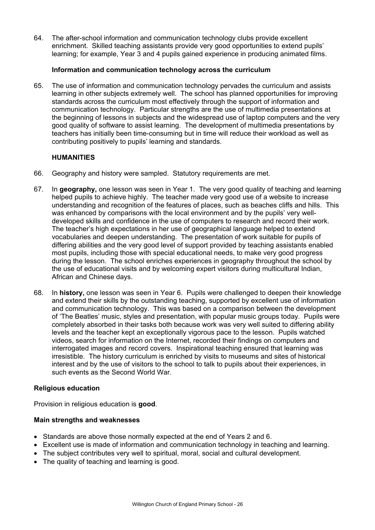64. The after-school information and communication technology clubs provide excellent enrichment. Skilled teaching assistants provide very good opportunities to extend pupils' learning; for example, Year 3 and 4 pupils gained experience in producing animated films.

## **Information and communication technology across the curriculum**

65. The use of information and communication technology pervades the curriculum and assists learning in other subjects extremely well. The school has planned opportunities for improving standards across the curriculum most effectively through the support of information and communication technology. Particular strengths are the use of multimedia presentations at the beginning of lessons in subjects and the widespread use of laptop computers and the very good quality of software to assist learning. The development of multimedia presentations by teachers has initially been time-consuming but in time will reduce their workload as well as contributing positively to pupils' learning and standards.

## **HUMANITIES**

- 66. Geography and history were sampled. Statutory requirements are met.
- 67. In **geography,** one lesson was seen in Year 1. The very good quality of teaching and learning helped pupils to achieve highly. The teacher made very good use of a website to increase understanding and recognition of the features of places, such as beaches cliffs and hills. This was enhanced by comparisons with the local environment and by the pupils' very welldeveloped skills and confidence in the use of computers to research and record their work. The teacher's high expectations in her use of geographical language helped to extend vocabularies and deepen understanding. The presentation of work suitable for pupils of differing abilities and the very good level of support provided by teaching assistants enabled most pupils, including those with special educational needs, to make very good progress during the lesson. The school enriches experiences in geography throughout the school by the use of educational visits and by welcoming expert visitors during multicultural Indian, African and Chinese days.
- 68. In **history,** one lesson was seen in Year 6. Pupils were challenged to deepen their knowledge and extend their skills by the outstanding teaching, supported by excellent use of information and communication technology. This was based on a comparison between the development of 'The Beatles' music, styles and presentation, with popular music groups today. Pupils were completely absorbed in their tasks both because work was very well suited to differing ability levels and the teacher kept an exceptionally vigorous pace to the lesson. Pupils watched videos, search for information on the Internet, recorded their findings on computers and interrogated images and record covers. Inspirational teaching ensured that learning was irresistible. The history curriculum is enriched by visits to museums and sites of historical interest and by the use of visitors to the school to talk to pupils about their experiences, in such events as the Second World War.

## **Religious education**

Provision in religious education is **good**.

#### **Main strengths and weaknesses**

- Standards are above those normally expected at the end of Years 2 and 6.
- Excellent use is made of information and communication technology in teaching and learning.
- The subject contributes very well to spiritual, moral, social and cultural development.
- The quality of teaching and learning is good.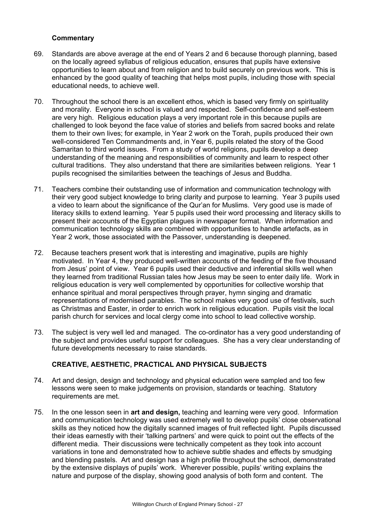## **Commentary**

- 69. Standards are above average at the end of Years 2 and 6 because thorough planning, based on the locally agreed syllabus of religious education, ensures that pupils have extensive opportunities to learn about and from religion and to build securely on previous work. This is enhanced by the good quality of teaching that helps most pupils, including those with special educational needs, to achieve well.
- 70. Throughout the school there is an excellent ethos, which is based very firmly on spirituality and morality. Everyone in school is valued and respected. Self-confidence and self-esteem are very high. Religious education plays a very important role in this because pupils are challenged to look beyond the face value of stories and beliefs from sacred books and relate them to their own lives; for example, in Year 2 work on the Torah, pupils produced their own well-considered Ten Commandments and, in Year 6, pupils related the story of the Good Samaritan to third world issues. From a study of world religions, pupils develop a deep understanding of the meaning and responsibilities of community and learn to respect other cultural traditions. They also understand that there are similarities between religions. Year 1 pupils recognised the similarities between the teachings of Jesus and Buddha.
- 71. Teachers combine their outstanding use of information and communication technology with their very good subject knowledge to bring clarity and purpose to learning. Year 3 pupils used a video to learn about the significance of the Qur'an for Muslims. Very good use is made of literacy skills to extend learning. Year 5 pupils used their word processing and literacy skills to present their accounts of the Egyptian plagues in newspaper format. When information and communication technology skills are combined with opportunities to handle artefacts, as in Year 2 work, those associated with the Passover, understanding is deepened.
- 72. Because teachers present work that is interesting and imaginative, pupils are highly motivated. In Year 4, they produced well-written accounts of the feeding of the five thousand from Jesus' point of view. Year 6 pupils used their deductive and inferential skills well when they learned from traditional Russian tales how Jesus may be seen to enter daily life. Work in religious education is very well complemented by opportunities for collective worship that enhance spiritual and moral perspectives through prayer, hymn singing and dramatic representations of modernised parables. The school makes very good use of festivals, such as Christmas and Easter, in order to enrich work in religious education. Pupils visit the local parish church for services and local clergy come into school to lead collective worship.
- 73. The subject is very well led and managed. The co-ordinator has a very good understanding of the subject and provides useful support for colleagues. She has a very clear understanding of future developments necessary to raise standards.

## **CREATIVE, AESTHETIC, PRACTICAL AND PHYSICAL SUBJECTS**

- 74. Art and design, design and technology and physical education were sampled and too few lessons were seen to make judgements on provision, standards or teaching. Statutory requirements are met.
- 75. In the one lesson seen in **art and design,** teaching and learning were very good. Information and communication technology was used extremely well to develop pupils' close observational skills as they noticed how the digitally scanned images of fruit reflected light. Pupils discussed their ideas earnestly with their 'talking partners' and were quick to point out the effects of the different media. Their discussions were technically competent as they took into account variations in tone and demonstrated how to achieve subtle shades and effects by smudging and blending pastels. Art and design has a high profile throughout the school, demonstrated by the extensive displays of pupils' work. Wherever possible, pupils' writing explains the nature and purpose of the display, showing good analysis of both form and content. The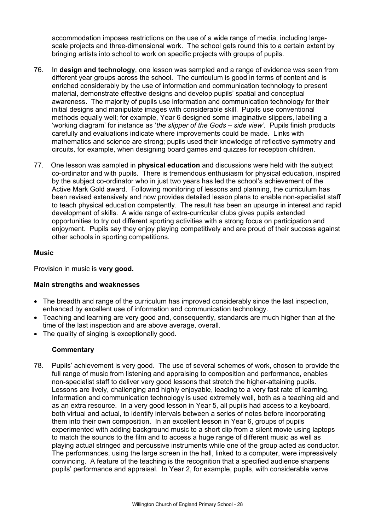accommodation imposes restrictions on the use of a wide range of media, including largescale projects and three-dimensional work. The school gets round this to a certain extent by bringing artists into school to work on specific projects with groups of pupils.

- 76. In **design and technology**, one lesson was sampled and a range of evidence was seen from different year groups across the school. The curriculum is good in terms of content and is enriched considerably by the use of information and communication technology to present material, demonstrate effective designs and develop pupils' spatial and conceptual awareness. The majority of pupils use information and communication technology for their initial designs and manipulate images with considerable skill. Pupils use conventional methods equally well; for example, Year 6 designed some imaginative slippers, labelling a 'working diagram' for instance as '*the slipper of the Gods – side view'.* Pupils finish products carefully and evaluations indicate where improvements could be made. Links with mathematics and science are strong; pupils used their knowledge of reflective symmetry and circuits, for example, when designing board games and quizzes for reception children.
- 77. One lesson was sampled in **physical education** and discussions were held with the subject co-ordinator and with pupils. There is tremendous enthusiasm for physical education, inspired by the subject co-ordinator who in just two years has led the school's achievement of the Active Mark Gold award. Following monitoring of lessons and planning, the curriculum has been revised extensively and now provides detailed lesson plans to enable non-specialist staff to teach physical education competently. The result has been an upsurge in interest and rapid development of skills. A wide range of extra-curricular clubs gives pupils extended opportunities to try out different sporting activities with a strong focus on participation and enjoyment. Pupils say they enjoy playing competitively and are proud of their success against other schools in sporting competitions.

## **Music**

Provision in music is **very good.**

## **Main strengths and weaknesses**

- The breadth and range of the curriculum has improved considerably since the last inspection, enhanced by excellent use of information and communication technology.
- Teaching and learning are very good and, consequently, standards are much higher than at the time of the last inspection and are above average, overall.
- The quality of singing is exceptionally good.

## **Commentary**

78. Pupils' achievement is very good. The use of several schemes of work, chosen to provide the full range of music from listening and appraising to composition and performance, enables non-specialist staff to deliver very good lessons that stretch the higher-attaining pupils. Lessons are lively, challenging and highly enjoyable, leading to a very fast rate of learning. Information and communication technology is used extremely well, both as a teaching aid and as an extra resource. In a very good lesson in Year 5, all pupils had access to a keyboard, both virtual and actual, to identify intervals between a series of notes before incorporating them into their own composition. In an excellent lesson in Year 6, groups of pupils experimented with adding background music to a short clip from a silent movie using laptops to match the sounds to the film and to access a huge range of different music as well as playing actual stringed and percussive instruments while one of the group acted as conductor. The performances, using the large screen in the hall, linked to a computer, were impressively convincing. A feature of the teaching is the recognition that a specified audience sharpens pupils' performance and appraisal. In Year 2, for example, pupils, with considerable verve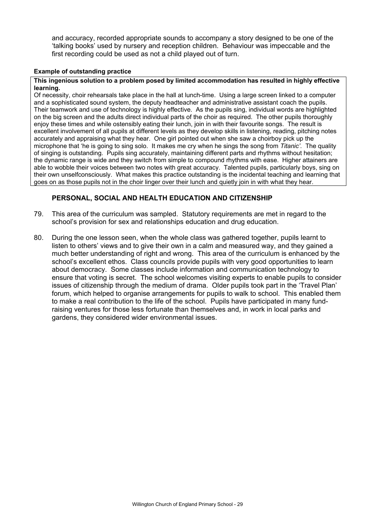and accuracy, recorded appropriate sounds to accompany a story designed to be one of the 'talking books' used by nursery and reception children. Behaviour was impeccable and the first recording could be used as not a child played out of turn.

#### **Example of outstanding practice**

#### **This ingenious solution to a problem posed by limited accommodation has resulted in highly effective learning.**

Of necessity, choir rehearsals take place in the hall at lunch-time. Using a large screen linked to a computer and a sophisticated sound system, the deputy headteacher and administrative assistant coach the pupils. Their teamwork and use of technology is highly effective. As the pupils sing, individual words are highlighted on the big screen and the adults direct individual parts of the choir as required. The other pupils thoroughly enjoy these times and while ostensibly eating their lunch, join in with their favourite songs. The result is excellent involvement of all pupils at different levels as they develop skills in listening, reading, pitching notes accurately and appraising what they hear. One girl pointed out when she saw a choirboy pick up the microphone that 'he is going to sing solo. It makes me cry when he sings the song from *Titanic'*. The quality of singing is outstanding. Pupils sing accurately, maintaining different parts and rhythms without hesitation; the dynamic range is wide and they switch from simple to compound rhythms with ease. Higher attainers are able to wobble their voices between two notes with great accuracy. Talented pupils, particularly boys, sing on their own unselfconsciously. What makes this practice outstanding is the incidental teaching and learning that goes on as those pupils not in the choir linger over their lunch and quietly join in with what they hear.

## **PERSONAL, SOCIAL AND HEALTH EDUCATION AND CITIZENSHIP**

- 79. This area of the curriculum was sampled. Statutory requirements are met in regard to the school's provision for sex and relationships education and drug education.
- 80. During the one lesson seen, when the whole class was gathered together, pupils learnt to listen to others' views and to give their own in a calm and measured way, and they gained a much better understanding of right and wrong. This area of the curriculum is enhanced by the school's excellent ethos. Class councils provide pupils with very good opportunities to learn about democracy. Some classes include information and communication technology to ensure that voting is secret. The school welcomes visiting experts to enable pupils to consider issues of citizenship through the medium of drama. Older pupils took part in the 'Travel Plan' forum, which helped to organise arrangements for pupils to walk to school. This enabled them to make a real contribution to the life of the school. Pupils have participated in many fundraising ventures for those less fortunate than themselves and, in work in local parks and gardens, they considered wider environmental issues.